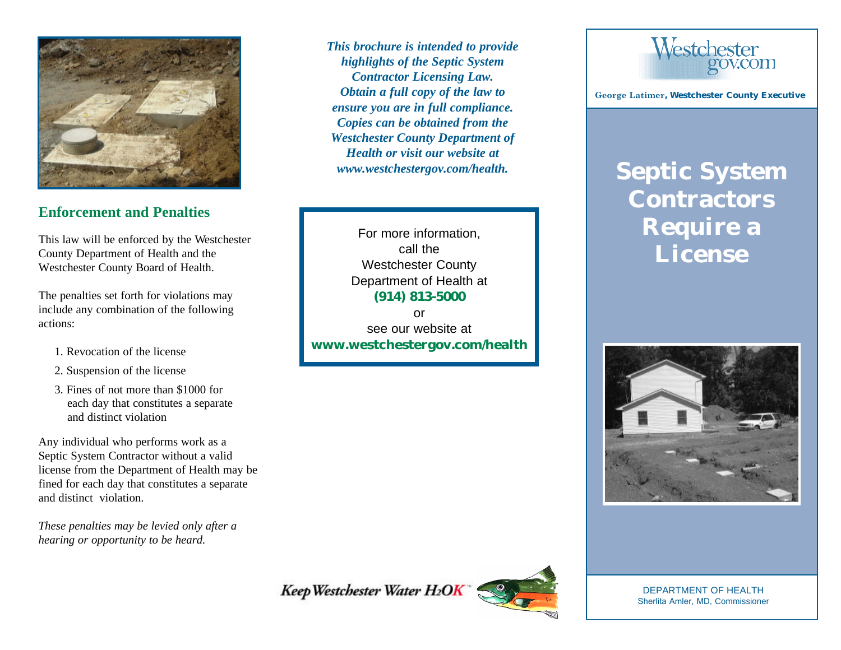

## **Enforcement and Penalties**

This law will be enforced by the Westchester County Department of Health and the Westchester County Board of Health.

The penalties set forth for violations may include any combination of the following actions:

- 1. Revocation of the license
- 2. Suspension of the license
- 3. Fines of not more than \$1000 for each day that constitutes a separate and distinct violation

Any individual who performs work as a Septic System Contractor without a valid license from the Department of Health may be fined for each day that constitutes a separate and distinct violation.

*These penalties may be levied only after a hearing or opportunity to be heard.*

*This brochure is intended to provide highlights of the Septic System Contractor Licensing Law. Obtain a full copy of the law to ensure you are in full compliance. Copies can be obtained from the Westchester County Department of Health or visit our website at www.westchestergov.com/health.*

For more information, call the Westchester County Department of Health at **(914) 813-5000** or

see our website at **www.westchestergov.com/health**



**George Latimer, Westchester County Executive**

# **Septic System Contractors Require a License**



Keep Westchester Water H2OK



DEPARTMENT OF HEALTH Sherlita Amler, MD, Commissioner